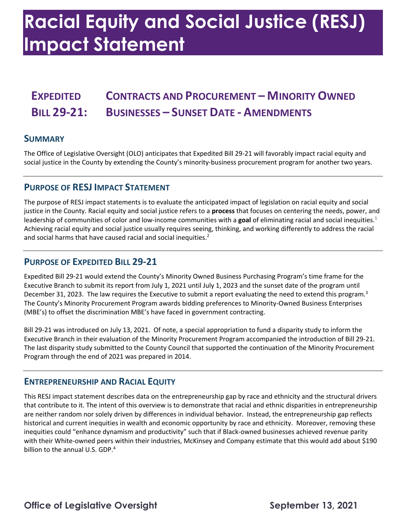# **Racial Equity and Social Justice (RESJ) Impact Statement**

# **EXPEDITED CONTRACTS AND PROCUREMENT – MINORITY OWNED BILL 29-21: BUSINESSES – SUNSET DATE - AMENDMENTS**

#### **SUMMARY**

 social justice in the County by extending the County's minority-business procurement program for another two years. The Office of Legislative Oversight (OLO) anticipates that Expedited Bill 29-21 will favorably impact racial equity and

### **PURPOSE OF RESJ IMPACT STATEMENT**

 The purpose of RESJ impact statements is to evaluate the anticipated impact of legislation on racial equity and social justice in the County. Racial equity and social justice refers to a **process** that focuses on centering the needs, power, and leadership of communities of color and low-income communities with a goal of eliminating racial and social inequities.<sup>1</sup> Achieving racial equity and social justice usually requires seeing, thinking, and working differently to address the racial and social harms that have caused racial and social inequities.<sup>2</sup>

### **PURPOSE OF EXPEDITED BILL 29-21**

 Expedited Bill 29-21 would extend the County's Minority Owned Business Purchasing Program's time frame for the December 31, 2023. The law requires the Executive to submit a report evaluating the need to extend this program.<sup>3</sup> The County's Minority Procurement Program awards bidding preferences to Minority-Owned Business Enterprises Executive Branch to submit its report from July 1, 2021 until July 1, 2023 and the sunset date of the program until (MBE's) to offset the discrimination MBE's have faced in government contracting.

 Bill 29-21 was introduced on July 13, 2021. Of note, a special appropriation to fund a disparity study to inform the Executive Branch in their evaluation of the Minority Procurement Program accompanied the introduction of Bill 29-21. The last disparity study submitted to the County Council that supported the continuation of the Minority Procurement Program through the end of 2021 was prepared in 2014.

#### **ENTREPRENEURSHIP AND RACIAL EQUITY**

 This RESJ impact statement describes data on the entrepreneurship gap by race and ethnicity and the structural drivers that contribute to it. The intent of this overview is to demonstrate that racial and ethnic disparities in entrepreneurship are neither random nor solely driven by differences in individual behavior. Instead, the entrepreneurship gap reflects historical and current inequities in wealth and economic opportunity by race and ethnicity. Moreover, removing these inequities could "enhance dynamism and productivity" such that if Black-owned businesses achieved revenue parity with their White-owned peers within their industries, McKinsey and Company estimate that this would add about \$190 billion to the annual U.S. GDP.<sup>4</sup>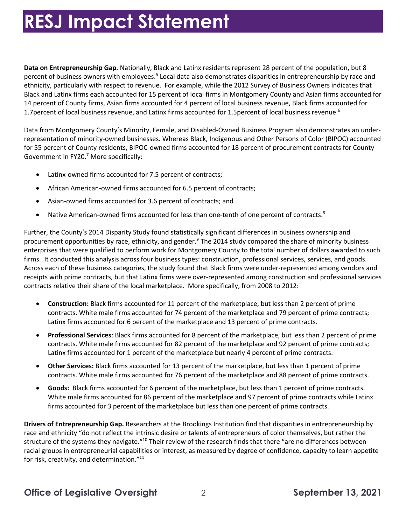# **RESJ Impact Statement**

 **Data on Entrepreneurship Gap.** Nationally, Black and Latinx residents represent 28 percent of the population, but 8 percent of business owners with employees.<sup>5</sup> Local data also demonstrates disparities in entrepreneurship by race and ethnicity, particularly with respect to revenue. For example, while the 2012 Survey of Business Owners indicates that Black and Latinx firms each accounted for 15 percent of local firms in Montgomery County and Asian firms accounted for 14 percent of County firms, Asian firms accounted for 4 percent of local business revenue, Black firms accounted for 1.7 percent of local business revenue, and Latinx firms accounted for 1.5 percent of local business revenue.<sup>6</sup>

 Data from Montgomery County's Minority, Female, and Disabled-Owned Business Program also demonstrates an under- representation of minority-owned businesses. Whereas Black, Indigenous and Other Persons of Color (BIPOC) accounted Government in FY20.7 More specifically: for 55 percent of County residents, BIPOC-owned firms accounted for 18 percent of procurement contracts for County

- Latinx-owned firms accounted for 7.5 percent of contracts;
- African American-owned firms accounted for 6.5 percent of contracts;
- Asian-owned firms accounted for 3.6 percent of contracts; and
- Native American-owned firms accounted for less than one-tenth of one percent of contracts.<sup>8</sup>

procurement opportunities by race, ethnicity, and gender.<sup>9</sup> The 2014 study compared the share of minority business enterprises that were qualified to perform work for Montgomery County to the total number of dollars awarded to such firms. It conducted this analysis across four business types: construction, professional services, services, and goods. firms. It conducted this analysis across four business types: construction, professional services, services, and goods.<br>Across each of these business categories, the study found that Black firms were under-represented amon contracts relative their share of the local marketplace. More specifically, from 2008 to 2012: Further, the County's 2014 Disparity Study found statistically significant differences in business ownership and receipts with prime contracts, but that Latinx firms were over-represented among construction and professional services

- • **Construction:** Black firms accounted for 11 percent of the marketplace, but less than 2 percent of prime contracts. White male firms accounted for 74 percent of the marketplace and 79 percent of prime contracts; Latinx firms accounted for 6 percent of the marketplace and 13 percent of prime contracts.
- • **Professional Services**: Black firms accounted for 8 percent of the marketplace, but less than 2 percent of prime contracts. White male firms accounted for 82 percent of the marketplace and 92 percent of prime contracts; Latinx firms accounted for 1 percent of the marketplace but nearly 4 percent of prime contracts.
- • **Other Services:** Black firms accounted for 13 percent of the marketplace, but less than 1 percent of prime contracts. White male firms accounted for 76 percent of the marketplace and 88 percent of prime contracts.
- • **Goods:** Black firms accounted for 6 percent of the marketplace, but less than 1 percent of prime contracts. White male firms accounted for 86 percent of the marketplace and 97 percent of prime contracts while Latinx firms accounted for 3 percent of the marketplace but less than one percent of prime contracts.

 race and ethnicity "do not reflect the intrinsic desire or talents of entrepreneurs of color themselves, but rather the structure of the systems they navigate."<sup>10</sup> Their review of the research finds that there "are no differences between racial groups in entrepreneurial capabilities or interest, as measured by degree of confidence, capacity to learn appetite for risk, creativity, and determination." $^{11}$ **Drivers of Entrepreneurship Gap.** Researchers at the Brookings Institution find that disparities in entrepreneurship by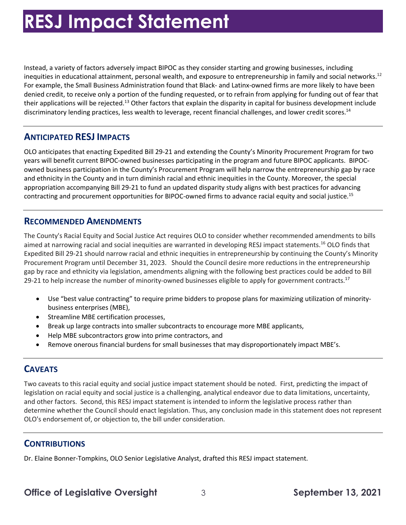# **RESJ Impact Statement**

 Instead, a variety of factors adversely impact BIPOC as they consider starting and growing businesses, including For example, the Small Business Administration found that Black- and Latinx-owned firms are more likely to have been denied credit, to receive only a portion of the funding requested, or to refrain from applying for funding out of fear that their applications will be rejected.<sup>13</sup> Other factors that explain the disparity in capital for business development include discriminatory lending practices, less wealth to leverage, recent financial challenges, and lower credit scores.<sup>14</sup> inequities in educational attainment, personal wealth, and exposure to entrepreneurship in family and social networks.<sup>12</sup>

## **ANTICIPATED RESJ IMPACTS**

 OLO anticipates that enacting Expedited Bill 29-21 and extending the County's Minority Procurement Program for two years will benefit current BIPOC-owned businesses participating in the program and future BIPOC applicants. BIPOC- owned business participation in the County's Procurement Program will help narrow the entrepreneurship gap by race and ethnicity in the County and in turn diminish racial and ethnic inequities in the County. Moreover, the special appropriation accompanying Bill 29-21 to fund an updated disparity study aligns with best practices for advancing contracting and procurement opportunities for BIPOC-owned firms to advance racial equity and social [justice.](https://justice.15) 15

#### **RECOMMENDED AMENDMENTS**

 The County's Racial Equity and Social Justice Act requires OLO to consider whether recommended amendments to bills aimed at narrowing racial and social inequities are warranted in developing RESJ impact statements.<sup>16</sup> OLO finds that Procurement Program until December 31, 2023. Should the Council desire more reductions in the entrepreneurship gap by race and ethnicity via legislation, amendments aligning with the following best practices could be added to Bill 29-21 to help increase the number of minority-owned businesses eligible to apply for government contracts.<sup>17</sup> Expedited Bill 29-21 should narrow racial and ethnic inequities in entrepreneurship by continuing the County's Minority

- Use "best value contracting" to require prime bidders to propose plans for maximizing utilization of minoritybusiness enterprises (MBE),
- Streamline MBE certification processes,
- Break up large contracts into smaller subcontracts to encourage more MBE applicants,
- Help MBE subcontractors grow into prime contractors, and
- Remove onerous financial burdens for small businesses that may disproportionately impact MBE's.

## **CAVEATS**

 Two caveats to this racial equity and social justice impact statement should be noted. First, predicting the impact of and other factors. Second, this RESJ impact statement is intended to inform the legislative process rather than determine whether the Council should enact legislation. Thus, any conclusion made in this statement does not represent OLO's endorsement of, or objection to, the bill under consideration. legislation on racial equity and social justice is a challenging, analytical endeavor due to data limitations, uncertainty,

### **CONTRIBUTIONS**

Dr. Elaine Bonner-Tompkins, OLO Senior Legislative Analyst, drafted this RESJ impact statement.